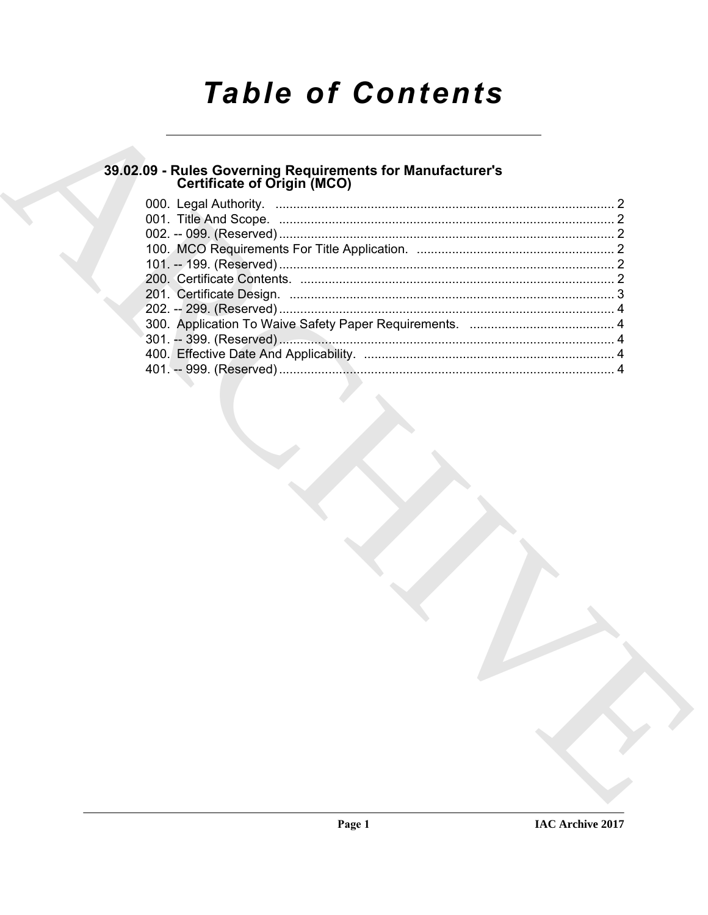# **Table of Contents**

## 39.02.09 - Rules Governing Requirements for Manufacturer's<br>Certificate of Origin (MCO)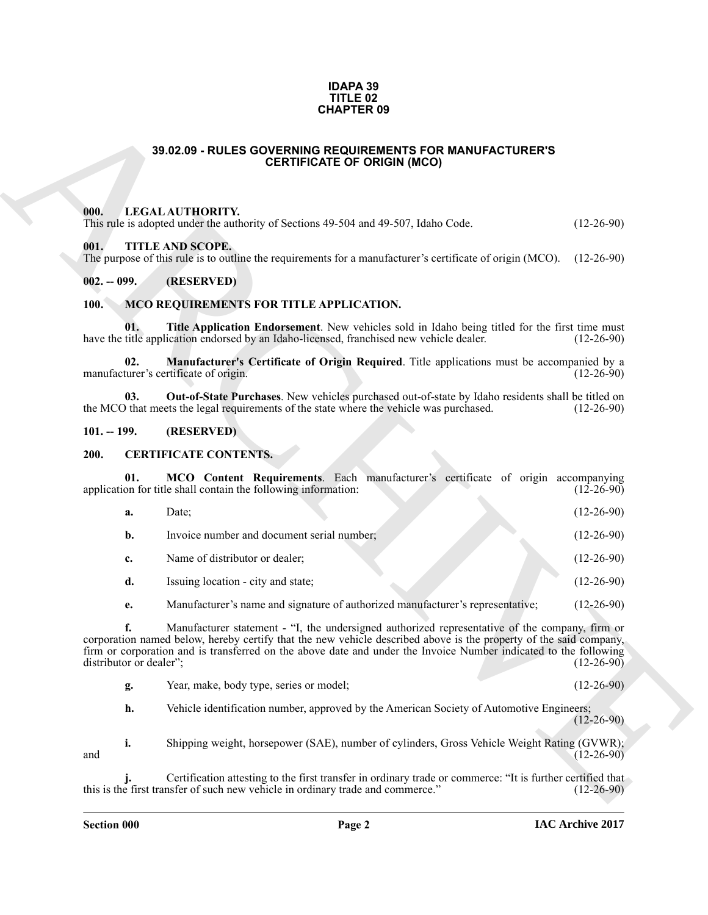#### **IDAPA 39 TITLE 02 CHAPTER 09**

### **39.02.09 - RULES GOVERNING REQUIREMENTS FOR MANUFACTURER'S CERTIFICATE OF ORIGIN (MCO)**

#### <span id="page-1-1"></span><span id="page-1-0"></span>**000. LEGAL AUTHORITY.**

### <span id="page-1-2"></span>**001. TITLE AND SCOPE.**

### <span id="page-1-3"></span>**002. -- 099. (RESERVED)**

### <span id="page-1-12"></span><span id="page-1-10"></span><span id="page-1-9"></span><span id="page-1-4"></span>**100. MCO REQUIREMENTS FOR TITLE APPLICATION.**

### <span id="page-1-11"></span><span id="page-1-5"></span>**101. -- 199. (RESERVED)**

### <span id="page-1-8"></span><span id="page-1-7"></span><span id="page-1-6"></span>**200. CERTIFICATE CONTENTS.**

| <b>CHAPTER 09</b>             |                                                                                                                                                                                                                                                                                                                                         |                  |
|-------------------------------|-----------------------------------------------------------------------------------------------------------------------------------------------------------------------------------------------------------------------------------------------------------------------------------------------------------------------------------------|------------------|
|                               | 39.02.09 - RULES GOVERNING REQUIREMENTS FOR MANUFACTURER'S<br><b>CERTIFICATE OF ORIGIN (MCO)</b>                                                                                                                                                                                                                                        |                  |
| 000.                          | LEGAL AUTHORITY.<br>This rule is adopted under the authority of Sections 49-504 and 49-507, Idaho Code.                                                                                                                                                                                                                                 | $(12-26-90)$     |
| 001.                          | TITLE AND SCOPE.<br>The purpose of this rule is to outline the requirements for a manufacturer's certificate of origin (MCO).                                                                                                                                                                                                           | $(12-26-90)$     |
| $002. - 099.$                 | (RESERVED)                                                                                                                                                                                                                                                                                                                              |                  |
| 100.                          | MCO REQUIREMENTS FOR TITLE APPLICATION.                                                                                                                                                                                                                                                                                                 |                  |
| 01.                           | Title Application Endorsement. New vehicles sold in Idaho being titled for the first time must<br>have the title application endorsed by an Idaho-licensed, franchised new vehicle dealer.                                                                                                                                              | $(12-26-90)$     |
| 02.                           | Manufacturer's Certificate of Origin Required. Title applications must be accompanied by a<br>manufacturer's certificate of origin.                                                                                                                                                                                                     | $(12-26-90)$     |
| 03.                           | Out-of-State Purchases. New vehicles purchased out-of-state by Idaho residents shall be titled on<br>the MCO that meets the legal requirements of the state where the vehicle was purchased.                                                                                                                                            | $(12-26-90)$     |
| $101. - 199.$                 | (RESERVED)                                                                                                                                                                                                                                                                                                                              |                  |
| 200.                          | <b>CERTIFICATE CONTENTS.</b>                                                                                                                                                                                                                                                                                                            |                  |
| 01.                           | MCO Content Requirements. Each manufacturer's certificate of origin accompanying<br>application for title shall contain the following information:                                                                                                                                                                                      | $(12 - 26 - 90)$ |
| a.                            | Date;                                                                                                                                                                                                                                                                                                                                   | $(12-26-90)$     |
| b.                            | Invoice number and document serial number;                                                                                                                                                                                                                                                                                              | $(12-26-90)$     |
| c.                            | Name of distributor or dealer;                                                                                                                                                                                                                                                                                                          | $(12-26-90)$     |
| d.                            | Issuing location - city and state;                                                                                                                                                                                                                                                                                                      | $(12-26-90)$     |
| e.                            | Manufacturer's name and signature of authorized manufacturer's representative;                                                                                                                                                                                                                                                          | $(12-26-90)$     |
| f.<br>distributor or dealer"; | Manufacturer statement - "I, the undersigned authorized representative of the company, firm or<br>corporation named below, hereby certify that the new vehicle described above is the property of the said company,<br>firm or corporation and is transferred on the above date and under the Invoice Number indicated to the following | $(12-26-90)$     |
| g.                            | Year, make, body type, series or model;                                                                                                                                                                                                                                                                                                 | $(12-26-90)$     |
| h.                            | Vehicle identification number, approved by the American Society of Automotive Engineers;                                                                                                                                                                                                                                                | $(12-26-90)$     |
| i.<br>and                     | Shipping weight, horsepower (SAE), number of cylinders, Gross Vehicle Weight Rating (GVWR);                                                                                                                                                                                                                                             | $(12-26-90)$     |
|                               | Certification attesting to the first transfer in ordinary trade or commerce: "It is further certified that<br>this is the first transfer of such new vehicle in ordinary trade and commerce."                                                                                                                                           | $(12-26-90)$     |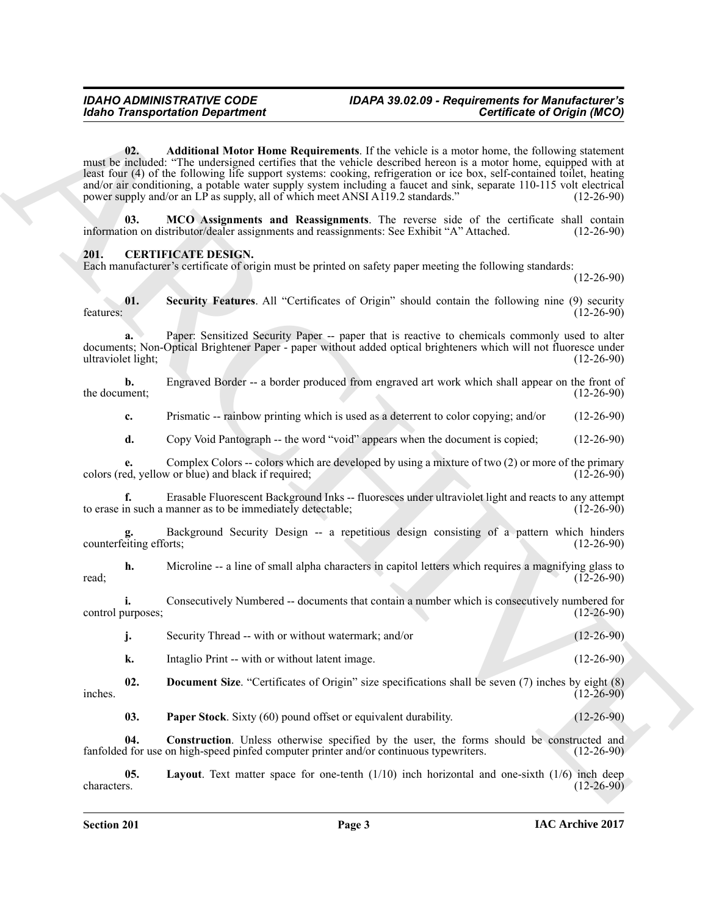### *Idaho Transportation Department*

### <span id="page-2-1"></span>*IDAHO ADMINISTRATIVE CODE IDAPA 39.02.09 - Requirements for Manufacturer's*

**Existence Transportation Department**<br> **Existence Constrained Existence Constrained Existence Constrained Existence Existence Existence Existence Existence Existence Existence Existence Existe 02. Additional Motor Home Requirements**. If the vehicle is a motor home, the following statement must be included: "The undersigned certifies that the vehicle described hereon is a motor home, equipped with at least four (4) of the following life support systems: cooking, refrigeration or ice box, self-contained toilet, heating and/or air conditioning, a potable water supply system including a faucet and sink, separate 110-115 volt electrical power supply and/or an LP as supply, all of which meet ANSI A119.2 standards." (12-26-90)

<span id="page-2-2"></span>**03. MCO Assignments and Reassignments**. The reverse side of the certificate shall contain ion on distributor/dealer assignments and reassignments: See Exhibit "A" Attached. (12-26-90) information on distributor/dealer assignments and reassignments: See Exhibit "A" Attached.

### <span id="page-2-3"></span><span id="page-2-0"></span>**201. CERTIFICATE DESIGN.**

Each manufacturer's certificate of origin must be printed on safety paper meeting the following standards:

(12-26-90)

<span id="page-2-8"></span>**01.** Security Features. All "Certificates of Origin" should contain the following nine (9) security (12-26-90) features: (12-26-90)

**a.** Paper: Sensitized Security Paper -- paper that is reactive to chemicals commonly used to alter documents; Non-Optical Brightener Paper - paper without added optical brighteners which will not fluoresce under<br>ultraviolet light; (12-26-90) ultraviolet light;

**b.** Engraved Border -- a border produced from engraved art work which shall appear on the front of ment; (12-26-90) the document;

**c.** Prismatic -- rainbow printing which is used as a deterrent to color copying; and/or (12-26-90)

**d.** Copy Void Pantograph -- the word "void" appears when the document is copied; (12-26-90)

**e.** Complex Colors -- colors which are developed by using a mixture of two (2) or more of the primary ed, yellow or blue) and black if required; (12-26-90) colors (red, yellow or blue) and black if required;

**f.** Erasable Fluorescent Background Inks -- fluoresces under ultraviolet light and reacts to any attempt n such a manner as to be immediately detectable; (12-26-90) to erase in such a manner as to be immediately detectable;

Background Security Design -- a repetitious design consisting of a pattern which hinders (12-26-90) counterfeiting efforts;

**h.** Microline -- a line of small alpha characters in capitol letters which requires a magnifying glass to (12-26-90) read; (12-26-90)

**i.** Consecutively Numbered -- documents that contain a number which is consecutively numbered for urrposes; (12-26-90) control purposes;

**j.** Security Thread -- with or without watermark; and/or (12-26-90)

<span id="page-2-5"></span>**k.** Intaglio Print -- with or without latent image. (12-26-90)

**02. Document Size**. "Certificates of Origin" size specifications shall be seven (7) inches by eight (8) (12-26-90) inches. (12-26-90)

<span id="page-2-7"></span><span id="page-2-6"></span><span id="page-2-4"></span>**03. Paper Stock**. Sixty (60) pound offset or equivalent durability. (12-26-90)

**04.** Construction. Unless otherwise specified by the user, the forms should be constructed and if or use on high-speed pinfed computer printer and/or continuous typewriters. (12-26-90) fanfolded for use on high-speed pinfed computer printer and/or continuous typewriters.

**05.** Layout. Text matter space for one-tenth (1/10) inch horizontal and one-sixth (1/6) inch deep characters. (12-26-90) characters. (12-26-90)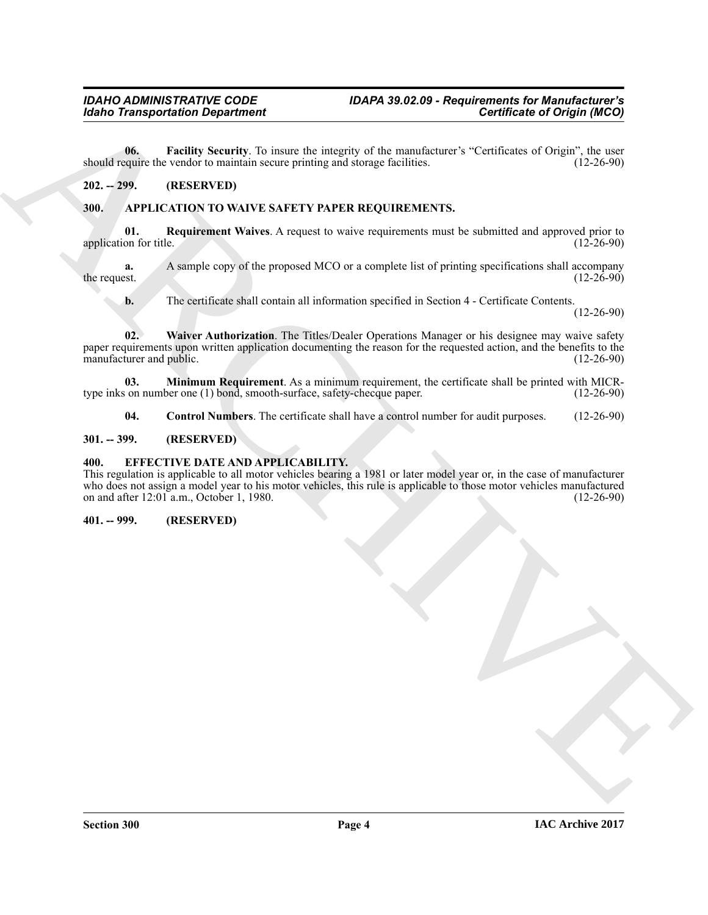<span id="page-3-10"></span>**06. Facility Security**. To insure the integrity of the manufacturer's "Certificates of Origin", the user equire the vendor to maintain secure printing and storage facilities. (12-26-90) should require the vendor to maintain secure printing and storage facilities.

### <span id="page-3-0"></span>**202. -- 299. (RESERVED)**

### <span id="page-3-5"></span><span id="page-3-1"></span>**300. APPLICATION TO WAIVE SAFETY PAPER REQUIREMENTS.**

<span id="page-3-8"></span>**01. Requirement Waives**. A request to waive requirements must be submitted and approved prior to application for title. (12-26-90) (12-26-90)

**a.** A sample copy of the proposed MCO or a complete list of printing specifications shall accompany the request. (12-26-90) the request.  $(12-26-90)$ 

<span id="page-3-9"></span>**b.** The certificate shall contain all information specified in Section 4 - Certificate Contents.

(12-26-90)

Gorin Transportation Department<br>
16. Eventline and the magnitude of Department<br>
20. The LIV Straits and the magnitude of the magnitude of Corporation<br>
20. The CHIVE STREET PAPER BEOQUIREMENTS.<br>
20. The APPLICATION TO WAPP **02. Waiver Authorization**. The Titles/Dealer Operations Manager or his designee may waive safety paper requirements upon written application documenting the reason for the requested action, and the benefits to the manufacturer and public. (12-26-90) manufacturer and public.

**03. Minimum Requirement**. As a minimum requirement, the certificate shall be printed with MICR-<br>s on number one (1) bond, smooth-surface, safety-checque paper. (12-26-90) type inks on number one  $(1)$  bond, smooth-surface, safety-checque paper.

<span id="page-3-11"></span><span id="page-3-7"></span><span id="page-3-6"></span>**04.** Control Numbers. The certificate shall have a control number for audit purposes. (12-26-90)

### <span id="page-3-2"></span>**301. -- 399. (RESERVED)**

### <span id="page-3-3"></span>**400. EFFECTIVE DATE AND APPLICABILITY.**

This regulation is applicable to all motor vehicles bearing a 1981 or later model year or, in the case of manufacturer who does not assign a model year to his motor vehicles, this rule is applicable to those motor vehicles manufactured<br>on and after 12:01 a.m., October 1, 1980. on and after  $12:01$  a.m., October 1, 1980.

### <span id="page-3-4"></span>**401. -- 999. (RESERVED)**